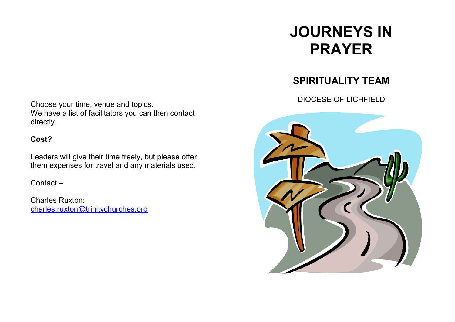# **JOURNEYS IN PRAYER**

## **SPIRITUALITY TEAM**

DIOCESE OF LICHFIELD



Choose your time, venue and topics. We have a list of facilitators you can then contactdirectly.

### **Cost?**

Leaders will give their time freely, but please offer them expenses for travel and any materials used.

Contact –

Charles Ruxton: charles.ruxton@trinitychurches.org